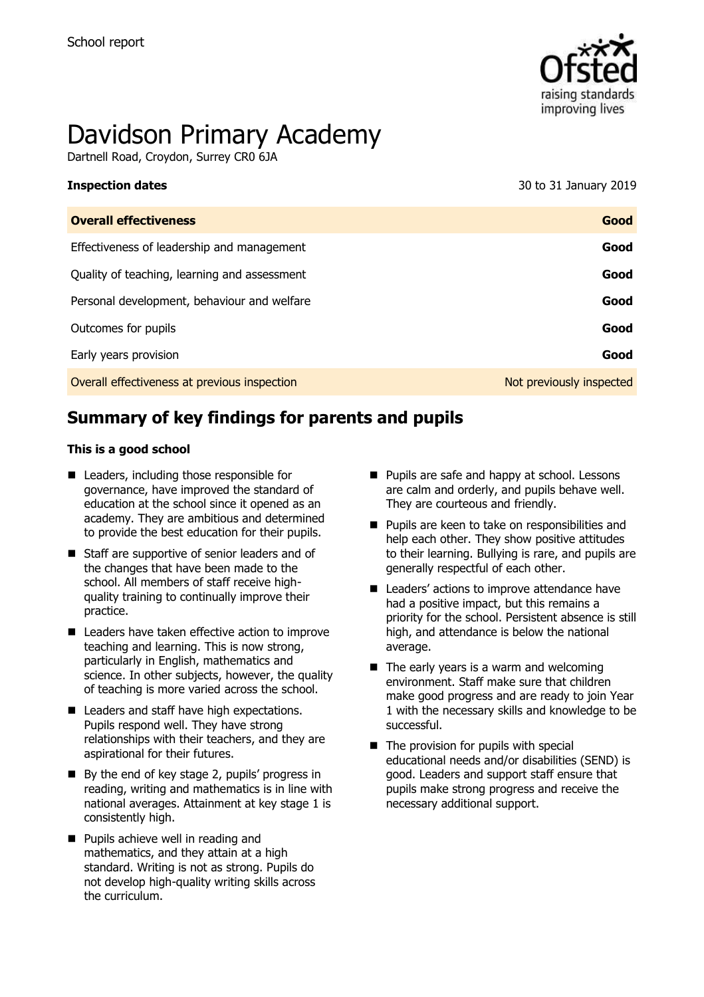

# Davidson Primary Academy

Dartnell Road, Croydon, Surrey CR0 6JA

**Inspection dates** 30 to 31 January 2019

| Good                     |
|--------------------------|
| Good                     |
| Good                     |
| Good                     |
| Good                     |
| Good                     |
| Not previously inspected |
|                          |

# **Summary of key findings for parents and pupils**

#### **This is a good school**

- Leaders, including those responsible for governance, have improved the standard of education at the school since it opened as an academy. They are ambitious and determined to provide the best education for their pupils.
- Staff are supportive of senior leaders and of the changes that have been made to the school. All members of staff receive highquality training to continually improve their practice.
- Leaders have taken effective action to improve teaching and learning. This is now strong, particularly in English, mathematics and science. In other subjects, however, the quality of teaching is more varied across the school.
- Leaders and staff have high expectations. Pupils respond well. They have strong relationships with their teachers, and they are aspirational for their futures.
- By the end of key stage 2, pupils' progress in reading, writing and mathematics is in line with national averages. Attainment at key stage 1 is consistently high.
- **Pupils achieve well in reading and** mathematics, and they attain at a high standard. Writing is not as strong. Pupils do not develop high-quality writing skills across the curriculum.
- Pupils are safe and happy at school. Lessons are calm and orderly, and pupils behave well. They are courteous and friendly.
- **Pupils are keen to take on responsibilities and** help each other. They show positive attitudes to their learning. Bullying is rare, and pupils are generally respectful of each other.
- Leaders' actions to improve attendance have had a positive impact, but this remains a priority for the school. Persistent absence is still high, and attendance is below the national average.
- $\blacksquare$  The early years is a warm and welcoming environment. Staff make sure that children make good progress and are ready to join Year 1 with the necessary skills and knowledge to be successful.
- $\blacksquare$  The provision for pupils with special educational needs and/or disabilities (SEND) is good. Leaders and support staff ensure that pupils make strong progress and receive the necessary additional support.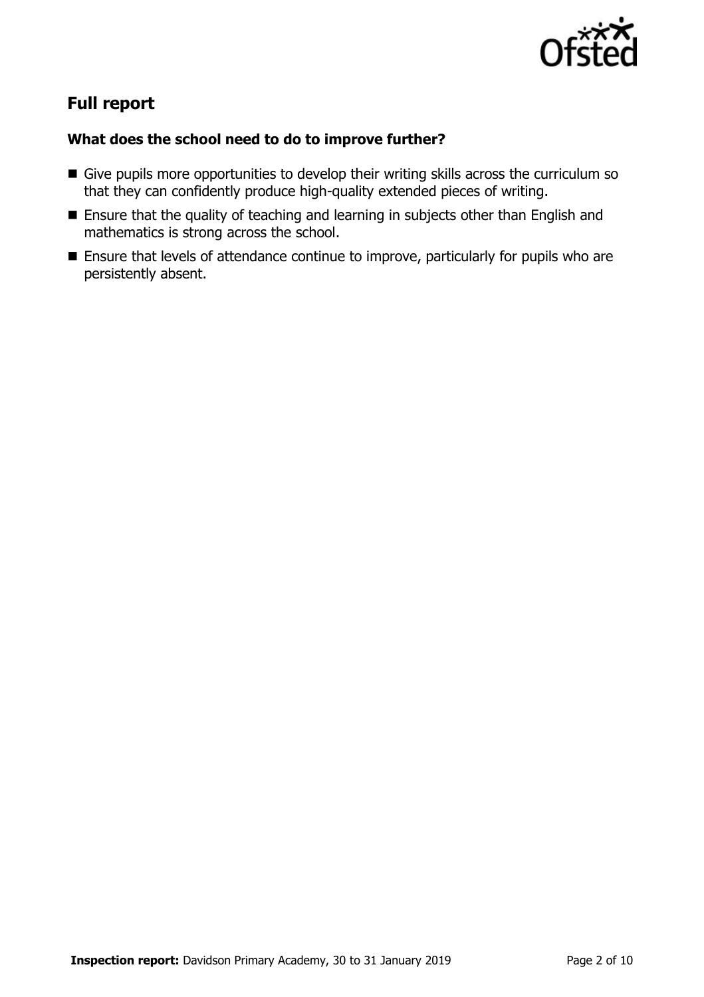

# **Full report**

### **What does the school need to do to improve further?**

- Give pupils more opportunities to develop their writing skills across the curriculum so that they can confidently produce high-quality extended pieces of writing.
- **Ensure that the quality of teaching and learning in subjects other than English and** mathematics is strong across the school.
- **Ensure that levels of attendance continue to improve, particularly for pupils who are** persistently absent.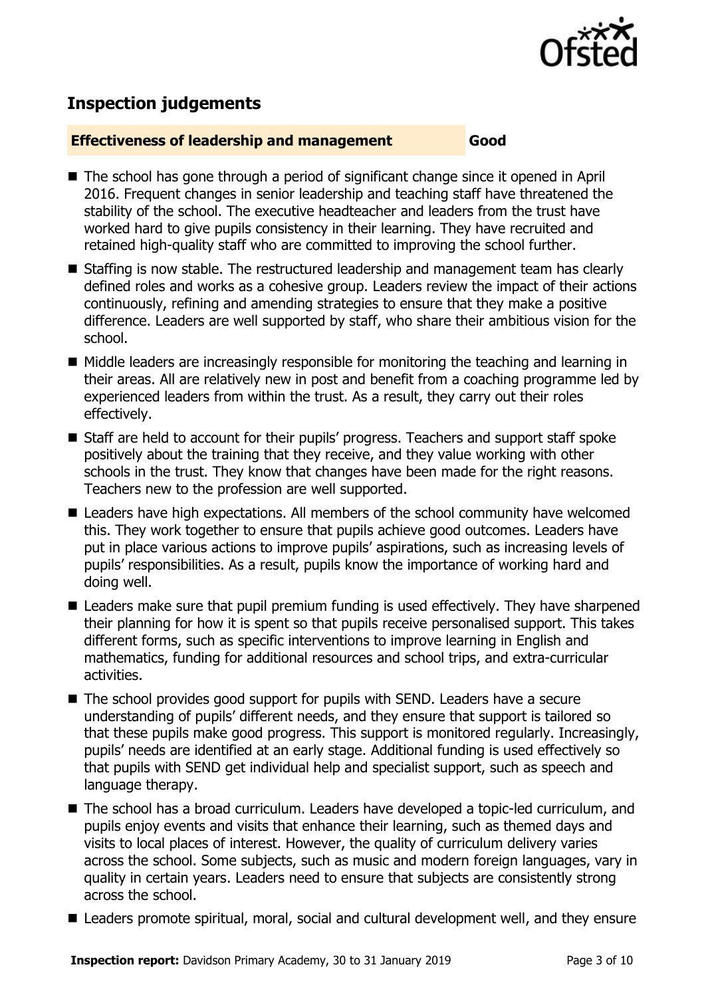

# **Inspection judgements**

#### **Effectiveness of leadership and management Good**

- The school has gone through a period of significant change since it opened in April 2016. Frequent changes in senior leadership and teaching staff have threatened the stability of the school. The executive headteacher and leaders from the trust have worked hard to give pupils consistency in their learning. They have recruited and retained high-quality staff who are committed to improving the school further.
- Staffing is now stable. The restructured leadership and management team has clearly defined roles and works as a cohesive group. Leaders review the impact of their actions continuously, refining and amending strategies to ensure that they make a positive difference. Leaders are well supported by staff, who share their ambitious vision for the school.
- Middle leaders are increasingly responsible for monitoring the teaching and learning in their areas. All are relatively new in post and benefit from a coaching programme led by experienced leaders from within the trust. As a result, they carry out their roles effectively.
- Staff are held to account for their pupils' progress. Teachers and support staff spoke positively about the training that they receive, and they value working with other schools in the trust. They know that changes have been made for the right reasons. Teachers new to the profession are well supported.
- Leaders have high expectations. All members of the school community have welcomed this. They work together to ensure that pupils achieve good outcomes. Leaders have put in place various actions to improve pupils' aspirations, such as increasing levels of pupils' responsibilities. As a result, pupils know the importance of working hard and doing well.
- Leaders make sure that pupil premium funding is used effectively. They have sharpened their planning for how it is spent so that pupils receive personalised support. This takes different forms, such as specific interventions to improve learning in English and mathematics, funding for additional resources and school trips, and extra-curricular activities.
- The school provides good support for pupils with SEND. Leaders have a secure understanding of pupils' different needs, and they ensure that support is tailored so that these pupils make good progress. This support is monitored regularly. Increasingly, pupils' needs are identified at an early stage. Additional funding is used effectively so that pupils with SEND get individual help and specialist support, such as speech and language therapy.
- The school has a broad curriculum. Leaders have developed a topic-led curriculum, and pupils enjoy events and visits that enhance their learning, such as themed days and visits to local places of interest. However, the quality of curriculum delivery varies across the school. Some subjects, such as music and modern foreign languages, vary in quality in certain years. Leaders need to ensure that subjects are consistently strong across the school.
- Leaders promote spiritual, moral, social and cultural development well, and they ensure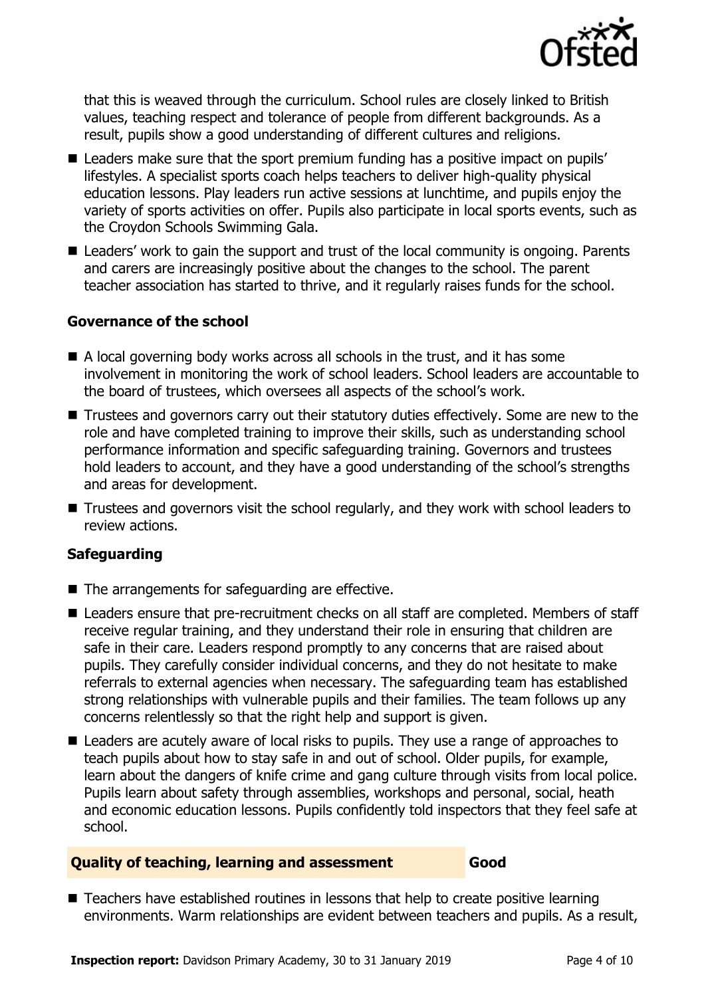

that this is weaved through the curriculum. School rules are closely linked to British values, teaching respect and tolerance of people from different backgrounds. As a result, pupils show a good understanding of different cultures and religions.

- Leaders make sure that the sport premium funding has a positive impact on pupils' lifestyles. A specialist sports coach helps teachers to deliver high-quality physical education lessons. Play leaders run active sessions at lunchtime, and pupils enjoy the variety of sports activities on offer. Pupils also participate in local sports events, such as the Croydon Schools Swimming Gala.
- Leaders' work to gain the support and trust of the local community is ongoing. Parents and carers are increasingly positive about the changes to the school. The parent teacher association has started to thrive, and it regularly raises funds for the school.

#### **Governance of the school**

- A local governing body works across all schools in the trust, and it has some involvement in monitoring the work of school leaders. School leaders are accountable to the board of trustees, which oversees all aspects of the school's work.
- Trustees and governors carry out their statutory duties effectively. Some are new to the role and have completed training to improve their skills, such as understanding school performance information and specific safeguarding training. Governors and trustees hold leaders to account, and they have a good understanding of the school's strengths and areas for development.
- Trustees and governors visit the school regularly, and they work with school leaders to review actions.

#### **Safeguarding**

- $\blacksquare$  The arrangements for safeguarding are effective.
- Leaders ensure that pre-recruitment checks on all staff are completed. Members of staff receive regular training, and they understand their role in ensuring that children are safe in their care. Leaders respond promptly to any concerns that are raised about pupils. They carefully consider individual concerns, and they do not hesitate to make referrals to external agencies when necessary. The safeguarding team has established strong relationships with vulnerable pupils and their families. The team follows up any concerns relentlessly so that the right help and support is given.
- **E** Leaders are acutely aware of local risks to pupils. They use a range of approaches to teach pupils about how to stay safe in and out of school. Older pupils, for example, learn about the dangers of knife crime and gang culture through visits from local police. Pupils learn about safety through assemblies, workshops and personal, social, heath and economic education lessons. Pupils confidently told inspectors that they feel safe at school.

#### **Quality of teaching, learning and assessment Good**

■ Teachers have established routines in lessons that help to create positive learning environments. Warm relationships are evident between teachers and pupils. As a result,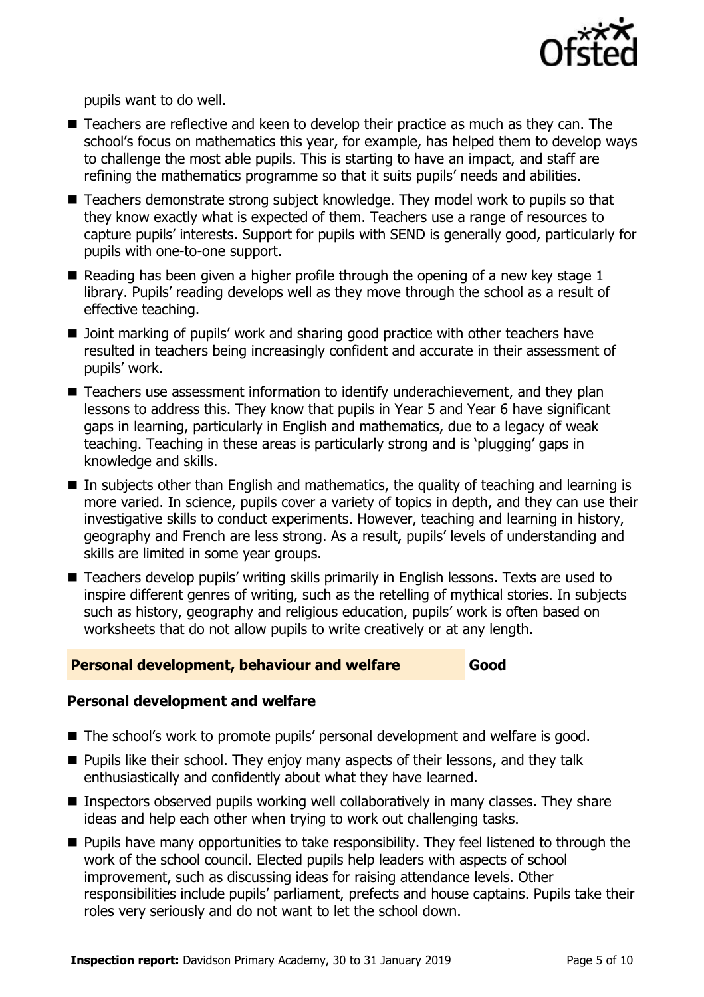

pupils want to do well.

- Teachers are reflective and keen to develop their practice as much as they can. The school's focus on mathematics this year, for example, has helped them to develop ways to challenge the most able pupils. This is starting to have an impact, and staff are refining the mathematics programme so that it suits pupils' needs and abilities.
- Teachers demonstrate strong subject knowledge. They model work to pupils so that they know exactly what is expected of them. Teachers use a range of resources to capture pupils' interests. Support for pupils with SEND is generally good, particularly for pupils with one-to-one support.
- Reading has been given a higher profile through the opening of a new key stage  $1$ library. Pupils' reading develops well as they move through the school as a result of effective teaching.
- Joint marking of pupils' work and sharing good practice with other teachers have resulted in teachers being increasingly confident and accurate in their assessment of pupils' work.
- Teachers use assessment information to identify underachievement, and they plan lessons to address this. They know that pupils in Year 5 and Year 6 have significant gaps in learning, particularly in English and mathematics, due to a legacy of weak teaching. Teaching in these areas is particularly strong and is 'plugging' gaps in knowledge and skills.
- $\blacksquare$  In subjects other than English and mathematics, the quality of teaching and learning is more varied. In science, pupils cover a variety of topics in depth, and they can use their investigative skills to conduct experiments. However, teaching and learning in history, geography and French are less strong. As a result, pupils' levels of understanding and skills are limited in some year groups.
- Teachers develop pupils' writing skills primarily in English lessons. Texts are used to inspire different genres of writing, such as the retelling of mythical stories. In subjects such as history, geography and religious education, pupils' work is often based on worksheets that do not allow pupils to write creatively or at any length.

#### **Personal development, behaviour and welfare Good**

#### **Personal development and welfare**

- The school's work to promote pupils' personal development and welfare is good.
- **Pupils like their school. They enjoy many aspects of their lessons, and they talk** enthusiastically and confidently about what they have learned.
- Inspectors observed pupils working well collaboratively in many classes. They share ideas and help each other when trying to work out challenging tasks.
- **Pupils have many opportunities to take responsibility. They feel listened to through the** work of the school council. Elected pupils help leaders with aspects of school improvement, such as discussing ideas for raising attendance levels. Other responsibilities include pupils' parliament, prefects and house captains. Pupils take their roles very seriously and do not want to let the school down.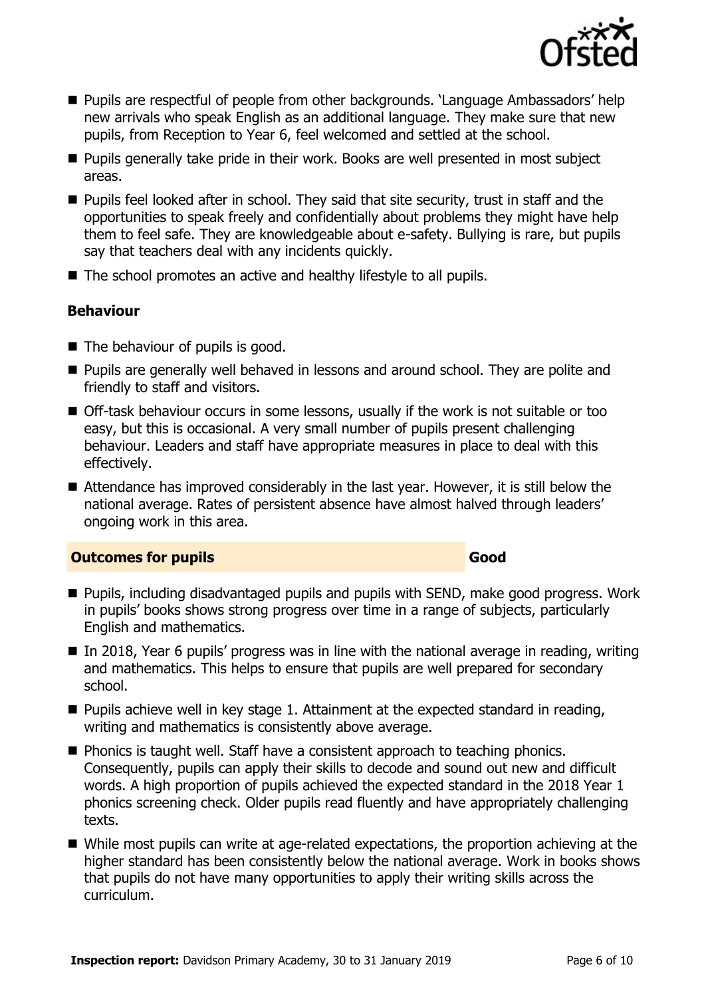

- Pupils are respectful of people from other backgrounds. 'Language Ambassadors' help new arrivals who speak English as an additional language. They make sure that new pupils, from Reception to Year 6, feel welcomed and settled at the school.
- **Pupils generally take pride in their work. Books are well presented in most subject** areas.
- **Pupils feel looked after in school. They said that site security, trust in staff and the** opportunities to speak freely and confidentially about problems they might have help them to feel safe. They are knowledgeable about e-safety. Bullying is rare, but pupils say that teachers deal with any incidents quickly.
- The school promotes an active and healthy lifestyle to all pupils.

### **Behaviour**

- The behaviour of pupils is good.
- **Pupils are generally well behaved in lessons and around school. They are polite and** friendly to staff and visitors.
- Off-task behaviour occurs in some lessons, usually if the work is not suitable or too easy, but this is occasional. A very small number of pupils present challenging behaviour. Leaders and staff have appropriate measures in place to deal with this effectively.
- Attendance has improved considerably in the last year. However, it is still below the national average. Rates of persistent absence have almost halved through leaders' ongoing work in this area.

#### **Outcomes for pupils Good**

- Pupils, including disadvantaged pupils and pupils with SEND, make good progress. Work in pupils' books shows strong progress over time in a range of subjects, particularly English and mathematics.
- $\blacksquare$  In 2018, Year 6 pupils' progress was in line with the national average in reading, writing and mathematics. This helps to ensure that pupils are well prepared for secondary school.
- $\blacksquare$  Pupils achieve well in key stage 1. Attainment at the expected standard in reading, writing and mathematics is consistently above average.
- **Phonics is taught well. Staff have a consistent approach to teaching phonics.** Consequently, pupils can apply their skills to decode and sound out new and difficult words. A high proportion of pupils achieved the expected standard in the 2018 Year 1 phonics screening check. Older pupils read fluently and have appropriately challenging texts.
- While most pupils can write at age-related expectations, the proportion achieving at the higher standard has been consistently below the national average. Work in books shows that pupils do not have many opportunities to apply their writing skills across the curriculum.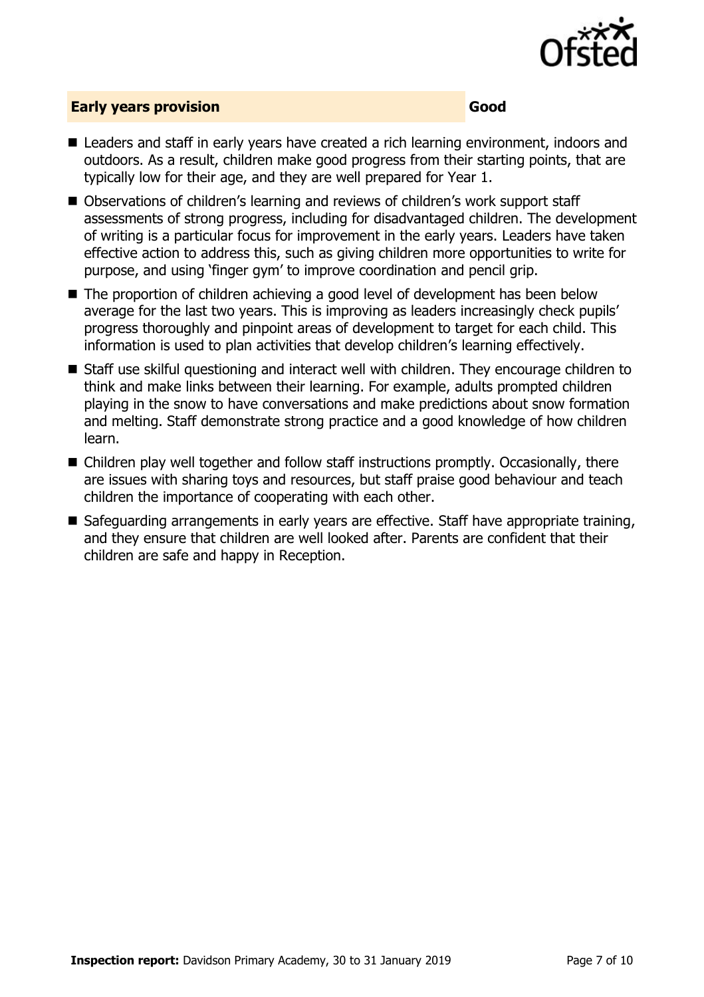

### **Early years provision Good**

- Leaders and staff in early vears have created a rich learning environment, indoors and outdoors. As a result, children make good progress from their starting points, that are typically low for their age, and they are well prepared for Year 1.
- Observations of children's learning and reviews of children's work support staff assessments of strong progress, including for disadvantaged children. The development of writing is a particular focus for improvement in the early years. Leaders have taken effective action to address this, such as giving children more opportunities to write for purpose, and using 'finger gym' to improve coordination and pencil grip.
- The proportion of children achieving a good level of development has been below average for the last two years. This is improving as leaders increasingly check pupils' progress thoroughly and pinpoint areas of development to target for each child. This information is used to plan activities that develop children's learning effectively.
- Staff use skilful questioning and interact well with children. They encourage children to think and make links between their learning. For example, adults prompted children playing in the snow to have conversations and make predictions about snow formation and melting. Staff demonstrate strong practice and a good knowledge of how children learn.
- Children play well together and follow staff instructions promptly. Occasionally, there are issues with sharing toys and resources, but staff praise good behaviour and teach children the importance of cooperating with each other.
- Safeguarding arrangements in early years are effective. Staff have appropriate training, and they ensure that children are well looked after. Parents are confident that their children are safe and happy in Reception.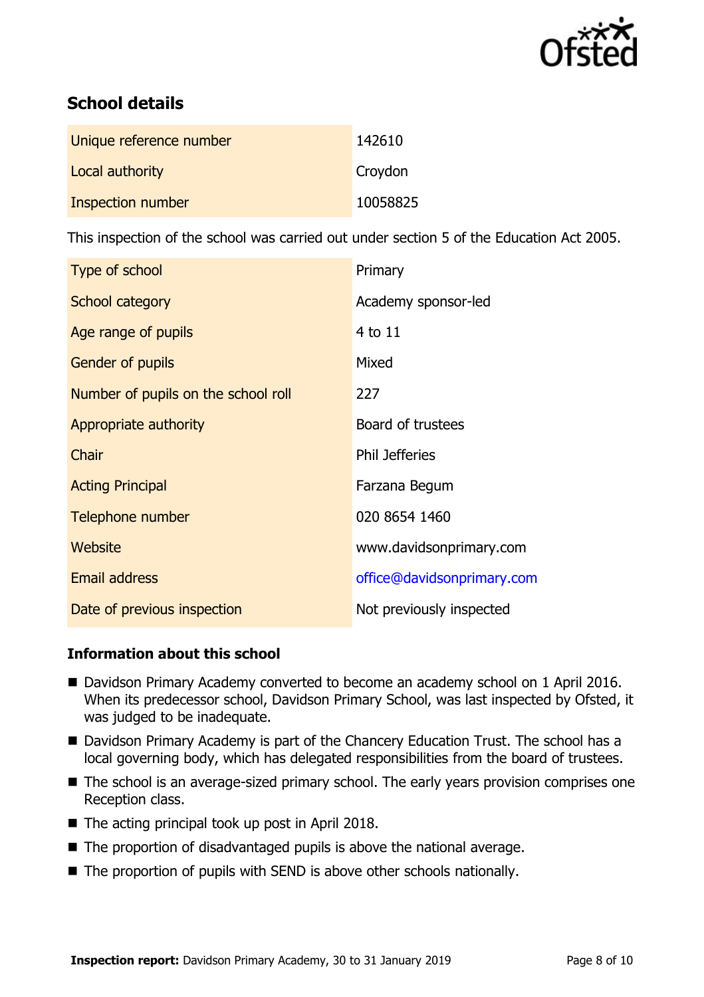

# **School details**

| Unique reference number | 142610   |
|-------------------------|----------|
| Local authority         | Croydon  |
| Inspection number       | 10058825 |

This inspection of the school was carried out under section 5 of the Education Act 2005.

| Type of school                      | Primary                    |
|-------------------------------------|----------------------------|
| School category                     | Academy sponsor-led        |
| Age range of pupils                 | 4 to 11                    |
| Gender of pupils                    | Mixed                      |
| Number of pupils on the school roll | 227                        |
| Appropriate authority               | Board of trustees          |
| Chair                               | <b>Phil Jefferies</b>      |
| <b>Acting Principal</b>             | Farzana Begum              |
| Telephone number                    | 020 8654 1460              |
| Website                             | www.davidsonprimary.com    |
| <b>Email address</b>                | office@davidsonprimary.com |
| Date of previous inspection         | Not previously inspected   |

#### **Information about this school**

- Davidson Primary Academy converted to become an academy school on 1 April 2016. When its predecessor school, Davidson Primary School, was last inspected by Ofsted, it was judged to be inadequate.
- Davidson Primary Academy is part of the Chancery Education Trust. The school has a local governing body, which has delegated responsibilities from the board of trustees.
- The school is an average-sized primary school. The early years provision comprises one Reception class.
- $\blacksquare$  The acting principal took up post in April 2018.
- The proportion of disadvantaged pupils is above the national average.
- The proportion of pupils with SEND is above other schools nationally.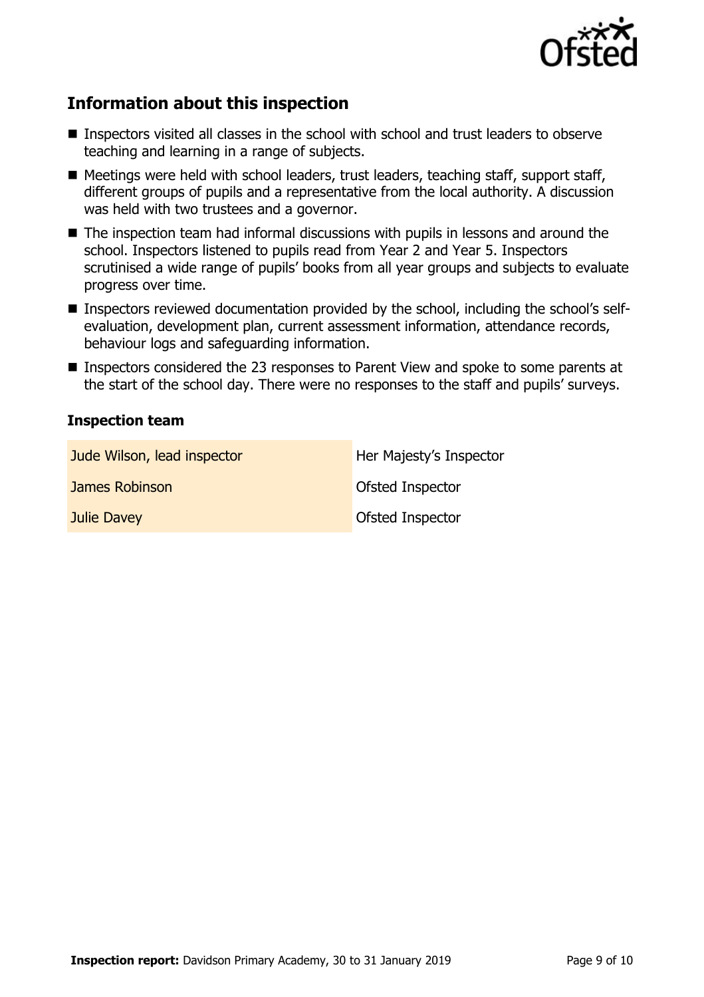

# **Information about this inspection**

- Inspectors visited all classes in the school with school and trust leaders to observe teaching and learning in a range of subjects.
- Meetings were held with school leaders, trust leaders, teaching staff, support staff, different groups of pupils and a representative from the local authority. A discussion was held with two trustees and a governor.
- The inspection team had informal discussions with pupils in lessons and around the school. Inspectors listened to pupils read from Year 2 and Year 5. Inspectors scrutinised a wide range of pupils' books from all year groups and subjects to evaluate progress over time.
- Inspectors reviewed documentation provided by the school, including the school's selfevaluation, development plan, current assessment information, attendance records, behaviour logs and safeguarding information.
- Inspectors considered the 23 responses to Parent View and spoke to some parents at the start of the school day. There were no responses to the staff and pupils' surveys.

#### **Inspection team**

| Jude Wilson, lead inspector | Her Majesty's Inspector |
|-----------------------------|-------------------------|
| James Robinson              | <b>Ofsted Inspector</b> |
| <b>Julie Davey</b>          | Ofsted Inspector        |